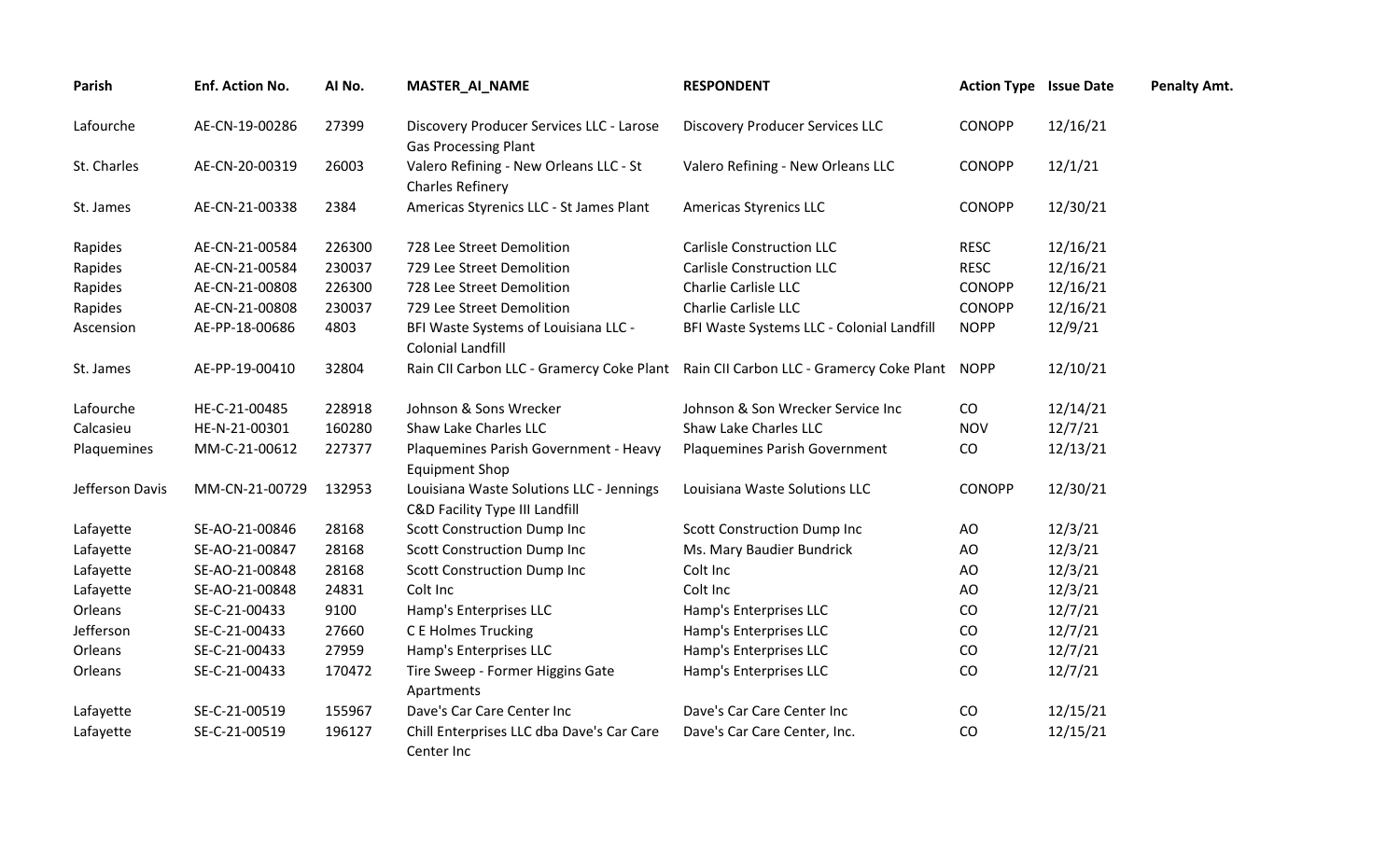| Parish          | Enf. Action No. | Al No. | <b>MASTER_AI_NAME</b>                                                      | <b>RESPONDENT</b>                                                                        | <b>Action Type Issue Date</b> |          | <b>Penalty Amt.</b> |
|-----------------|-----------------|--------|----------------------------------------------------------------------------|------------------------------------------------------------------------------------------|-------------------------------|----------|---------------------|
| Lafourche       | AE-CN-19-00286  | 27399  | Discovery Producer Services LLC - Larose<br><b>Gas Processing Plant</b>    | <b>Discovery Producer Services LLC</b>                                                   | <b>CONOPP</b>                 | 12/16/21 |                     |
| St. Charles     | AE-CN-20-00319  | 26003  | Valero Refining - New Orleans LLC - St<br><b>Charles Refinery</b>          | Valero Refining - New Orleans LLC                                                        | <b>CONOPP</b>                 | 12/1/21  |                     |
| St. James       | AE-CN-21-00338  | 2384   | Americas Styrenics LLC - St James Plant                                    | <b>Americas Styrenics LLC</b>                                                            | <b>CONOPP</b>                 | 12/30/21 |                     |
| Rapides         | AE-CN-21-00584  | 226300 | 728 Lee Street Demolition                                                  | <b>Carlisle Construction LLC</b>                                                         | <b>RESC</b>                   | 12/16/21 |                     |
| Rapides         | AE-CN-21-00584  | 230037 | 729 Lee Street Demolition                                                  | <b>Carlisle Construction LLC</b>                                                         | <b>RESC</b>                   | 12/16/21 |                     |
| Rapides         | AE-CN-21-00808  | 226300 | 728 Lee Street Demolition                                                  | Charlie Carlisle LLC                                                                     | <b>CONOPP</b>                 | 12/16/21 |                     |
| Rapides         | AE-CN-21-00808  | 230037 | 729 Lee Street Demolition                                                  | Charlie Carlisle LLC                                                                     | <b>CONOPP</b>                 | 12/16/21 |                     |
| Ascension       | AE-PP-18-00686  | 4803   | BFI Waste Systems of Louisiana LLC -<br><b>Colonial Landfill</b>           | BFI Waste Systems LLC - Colonial Landfill                                                | <b>NOPP</b>                   | 12/9/21  |                     |
| St. James       | AE-PP-19-00410  | 32804  |                                                                            | Rain CII Carbon LLC - Gramercy Coke Plant Rain CII Carbon LLC - Gramercy Coke Plant NOPP |                               | 12/10/21 |                     |
| Lafourche       | HE-C-21-00485   | 228918 | Johnson & Sons Wrecker                                                     | Johnson & Son Wrecker Service Inc                                                        | CO                            | 12/14/21 |                     |
| Calcasieu       | HE-N-21-00301   | 160280 | Shaw Lake Charles LLC                                                      | Shaw Lake Charles LLC                                                                    | <b>NOV</b>                    | 12/7/21  |                     |
| Plaquemines     | MM-C-21-00612   | 227377 | Plaquemines Parish Government - Heavy<br><b>Equipment Shop</b>             | Plaquemines Parish Government                                                            | CO                            | 12/13/21 |                     |
| Jefferson Davis | MM-CN-21-00729  | 132953 | Louisiana Waste Solutions LLC - Jennings<br>C&D Facility Type III Landfill | Louisiana Waste Solutions LLC                                                            | <b>CONOPP</b>                 | 12/30/21 |                     |
| Lafayette       | SE-AO-21-00846  | 28168  | <b>Scott Construction Dump Inc</b>                                         | <b>Scott Construction Dump Inc</b>                                                       | AO                            | 12/3/21  |                     |
| Lafayette       | SE-AO-21-00847  | 28168  | <b>Scott Construction Dump Inc</b>                                         | Ms. Mary Baudier Bundrick                                                                | AO                            | 12/3/21  |                     |
| Lafayette       | SE-AO-21-00848  | 28168  | <b>Scott Construction Dump Inc</b>                                         | Colt Inc                                                                                 | AO                            | 12/3/21  |                     |
| Lafayette       | SE-AO-21-00848  | 24831  | Colt Inc                                                                   | Colt Inc                                                                                 | AO                            | 12/3/21  |                     |
| Orleans         | SE-C-21-00433   | 9100   | Hamp's Enterprises LLC                                                     | Hamp's Enterprises LLC                                                                   | CO                            | 12/7/21  |                     |
| Jefferson       | SE-C-21-00433   | 27660  | C E Holmes Trucking                                                        | Hamp's Enterprises LLC                                                                   | CO                            | 12/7/21  |                     |
| Orleans         | SE-C-21-00433   | 27959  | Hamp's Enterprises LLC                                                     | Hamp's Enterprises LLC                                                                   | CO                            | 12/7/21  |                     |
| Orleans         | SE-C-21-00433   | 170472 | Tire Sweep - Former Higgins Gate<br>Apartments                             | Hamp's Enterprises LLC                                                                   | CO                            | 12/7/21  |                     |
| Lafayette       | SE-C-21-00519   | 155967 | Dave's Car Care Center Inc                                                 | Dave's Car Care Center Inc                                                               | CO                            | 12/15/21 |                     |
| Lafayette       | SE-C-21-00519   | 196127 | Chill Enterprises LLC dba Dave's Car Care<br>Center Inc                    | Dave's Car Care Center, Inc.                                                             | CO                            | 12/15/21 |                     |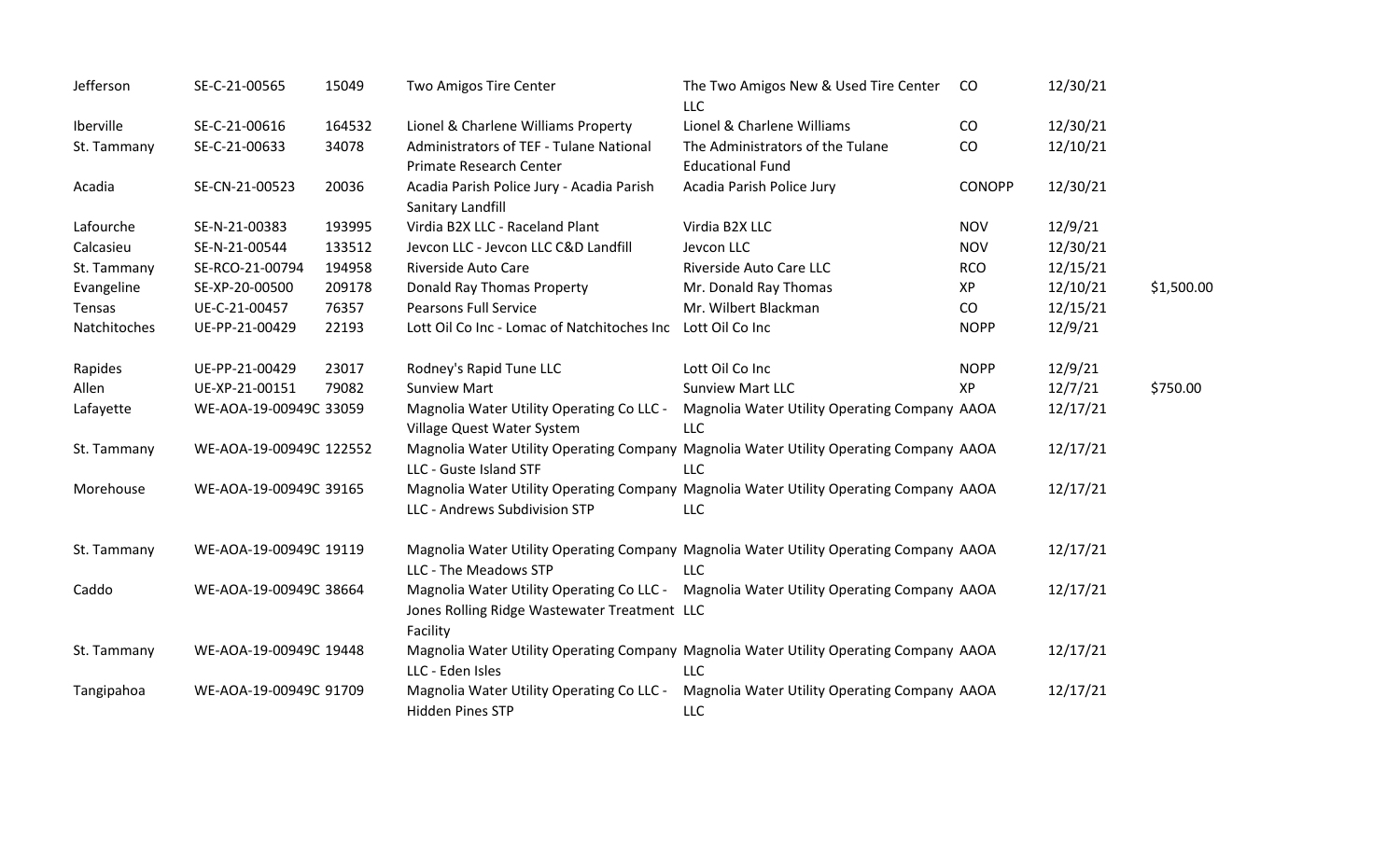| Jefferson    | SE-C-21-00565           | 15049  | Two Amigos Tire Center                                                  | The Two Amigos New & Used Tire Center<br><b>LLC</b>                                                  | <sub>co</sub> | 12/30/21 |            |
|--------------|-------------------------|--------|-------------------------------------------------------------------------|------------------------------------------------------------------------------------------------------|---------------|----------|------------|
| Iberville    | SE-C-21-00616           | 164532 | Lionel & Charlene Williams Property                                     | Lionel & Charlene Williams                                                                           | CO            | 12/30/21 |            |
| St. Tammany  | SE-C-21-00633           | 34078  | Administrators of TEF - Tulane National<br>Primate Research Center      | The Administrators of the Tulane<br><b>Educational Fund</b>                                          | CO            | 12/10/21 |            |
| Acadia       | SE-CN-21-00523          | 20036  | Acadia Parish Police Jury - Acadia Parish<br>Sanitary Landfill          | Acadia Parish Police Jury                                                                            | <b>CONOPP</b> | 12/30/21 |            |
| Lafourche    | SE-N-21-00383           | 193995 | Virdia B2X LLC - Raceland Plant                                         | Virdia B2X LLC                                                                                       | <b>NOV</b>    | 12/9/21  |            |
| Calcasieu    | SE-N-21-00544           | 133512 | Jevcon LLC - Jevcon LLC C&D Landfill                                    | Jevcon LLC                                                                                           | <b>NOV</b>    | 12/30/21 |            |
| St. Tammany  | SE-RCO-21-00794         | 194958 | Riverside Auto Care                                                     | Riverside Auto Care LLC                                                                              | <b>RCO</b>    | 12/15/21 |            |
| Evangeline   | SE-XP-20-00500          | 209178 | Donald Ray Thomas Property                                              | Mr. Donald Ray Thomas                                                                                | XP            | 12/10/21 | \$1,500.00 |
| Tensas       | UE-C-21-00457           | 76357  | <b>Pearsons Full Service</b>                                            | Mr. Wilbert Blackman                                                                                 | CO            | 12/15/21 |            |
| Natchitoches | UE-PP-21-00429          | 22193  | Lott Oil Co Inc - Lomac of Natchitoches Inc Lott Oil Co Inc             |                                                                                                      | <b>NOPP</b>   | 12/9/21  |            |
| Rapides      | UE-PP-21-00429          | 23017  | Rodney's Rapid Tune LLC                                                 | Lott Oil Co Inc                                                                                      | <b>NOPP</b>   | 12/9/21  |            |
| Allen        | UE-XP-21-00151          | 79082  | <b>Sunview Mart</b>                                                     | <b>Sunview Mart LLC</b>                                                                              | XP            | 12/7/21  | \$750.00   |
| Lafayette    | WE-AOA-19-00949C 33059  |        | Magnolia Water Utility Operating Co LLC -<br>Village Quest Water System | Magnolia Water Utility Operating Company AAOA<br><b>LLC</b>                                          |               | 12/17/21 |            |
| St. Tammany  | WE-AOA-19-00949C 122552 |        | LLC - Guste Island STF                                                  | Magnolia Water Utility Operating Company Magnolia Water Utility Operating Company AAOA<br><b>LLC</b> |               | 12/17/21 |            |
| Morehouse    | WE-AOA-19-00949C 39165  |        | LLC - Andrews Subdivision STP                                           | Magnolia Water Utility Operating Company Magnolia Water Utility Operating Company AAOA<br><b>LLC</b> |               | 12/17/21 |            |
| St. Tammany  | WE-AOA-19-00949C 19119  |        | LLC - The Meadows STP                                                   | Magnolia Water Utility Operating Company Magnolia Water Utility Operating Company AAOA<br><b>LLC</b> |               | 12/17/21 |            |
| Caddo        | WE-AOA-19-00949C 38664  |        | Jones Rolling Ridge Wastewater Treatment LLC<br>Facility                | Magnolia Water Utility Operating Co LLC - Magnolia Water Utility Operating Company AAOA              |               | 12/17/21 |            |
| St. Tammany  | WE-AOA-19-00949C 19448  |        | LLC - Eden Isles                                                        | Magnolia Water Utility Operating Company Magnolia Water Utility Operating Company AAOA<br><b>LLC</b> |               | 12/17/21 |            |
| Tangipahoa   | WE-AOA-19-00949C 91709  |        | Magnolia Water Utility Operating Co LLC -<br><b>Hidden Pines STP</b>    | Magnolia Water Utility Operating Company AAOA<br><b>LLC</b>                                          |               | 12/17/21 |            |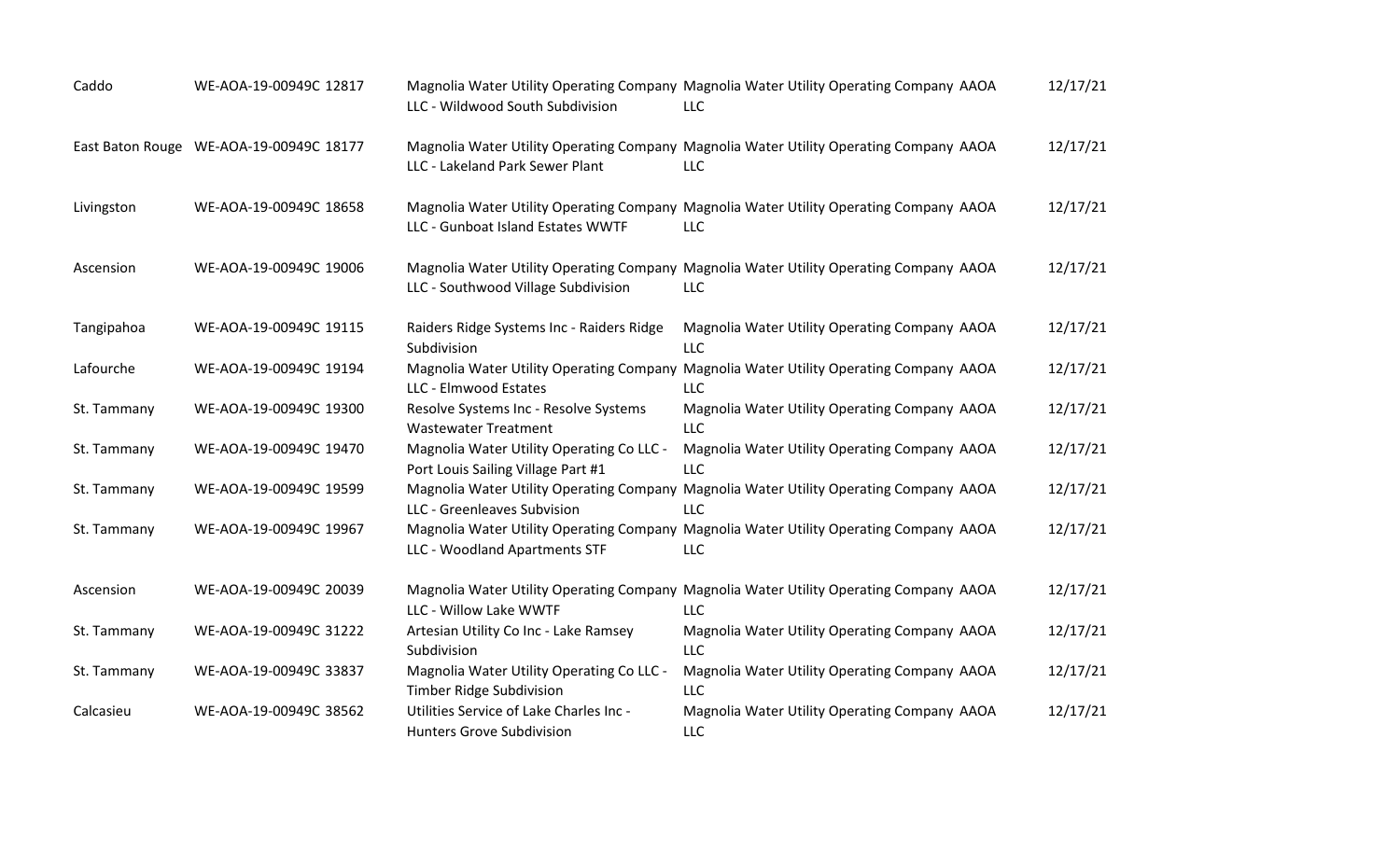| Caddo       | WE-AOA-19-00949C 12817                  | LLC - Wildwood South Subdivision                                                | Magnolia Water Utility Operating Company Magnolia Water Utility Operating Company AAOA<br><b>LLC</b> | 12/17/21 |
|-------------|-----------------------------------------|---------------------------------------------------------------------------------|------------------------------------------------------------------------------------------------------|----------|
|             | East Baton Rouge WE-AOA-19-00949C 18177 | LLC - Lakeland Park Sewer Plant                                                 | Magnolia Water Utility Operating Company Magnolia Water Utility Operating Company AAOA<br>LLC        | 12/17/21 |
| Livingston  | WE-AOA-19-00949C 18658                  | LLC - Gunboat Island Estates WWTF                                               | Magnolia Water Utility Operating Company Magnolia Water Utility Operating Company AAOA<br><b>LLC</b> | 12/17/21 |
| Ascension   | WE-AOA-19-00949C 19006                  | LLC - Southwood Village Subdivision                                             | Magnolia Water Utility Operating Company Magnolia Water Utility Operating Company AAOA<br><b>LLC</b> | 12/17/21 |
| Tangipahoa  | WE-AOA-19-00949C 19115                  | Raiders Ridge Systems Inc - Raiders Ridge<br>Subdivision                        | Magnolia Water Utility Operating Company AAOA<br><b>LLC</b>                                          | 12/17/21 |
| Lafourche   | WE-AOA-19-00949C 19194                  | LLC - Elmwood Estates                                                           | Magnolia Water Utility Operating Company Magnolia Water Utility Operating Company AAOA<br><b>LLC</b> | 12/17/21 |
| St. Tammany | WE-AOA-19-00949C 19300                  | Resolve Systems Inc - Resolve Systems<br><b>Wastewater Treatment</b>            | Magnolia Water Utility Operating Company AAOA<br><b>LLC</b>                                          | 12/17/21 |
| St. Tammany | WE-AOA-19-00949C 19470                  | Magnolia Water Utility Operating Co LLC -<br>Port Louis Sailing Village Part #1 | Magnolia Water Utility Operating Company AAOA<br><b>LLC</b>                                          | 12/17/21 |
| St. Tammany | WE-AOA-19-00949C 19599                  | LLC - Greenleaves Subvision                                                     | Magnolia Water Utility Operating Company Magnolia Water Utility Operating Company AAOA<br><b>LLC</b> | 12/17/21 |
| St. Tammany | WE-AOA-19-00949C 19967                  | LLC - Woodland Apartments STF                                                   | Magnolia Water Utility Operating Company Magnolia Water Utility Operating Company AAOA<br>LLC        | 12/17/21 |
| Ascension   | WE-AOA-19-00949C 20039                  | LLC - Willow Lake WWTF                                                          | Magnolia Water Utility Operating Company Magnolia Water Utility Operating Company AAOA<br><b>LLC</b> | 12/17/21 |
| St. Tammany | WE-AOA-19-00949C 31222                  | Artesian Utility Co Inc - Lake Ramsey<br>Subdivision                            | Magnolia Water Utility Operating Company AAOA<br><b>LLC</b>                                          | 12/17/21 |
| St. Tammany | WE-AOA-19-00949C 33837                  | Magnolia Water Utility Operating Co LLC -<br>Timber Ridge Subdivision           | Magnolia Water Utility Operating Company AAOA<br><b>LLC</b>                                          | 12/17/21 |
| Calcasieu   | WE-AOA-19-00949C 38562                  | Utilities Service of Lake Charles Inc -<br><b>Hunters Grove Subdivision</b>     | Magnolia Water Utility Operating Company AAOA<br><b>LLC</b>                                          | 12/17/21 |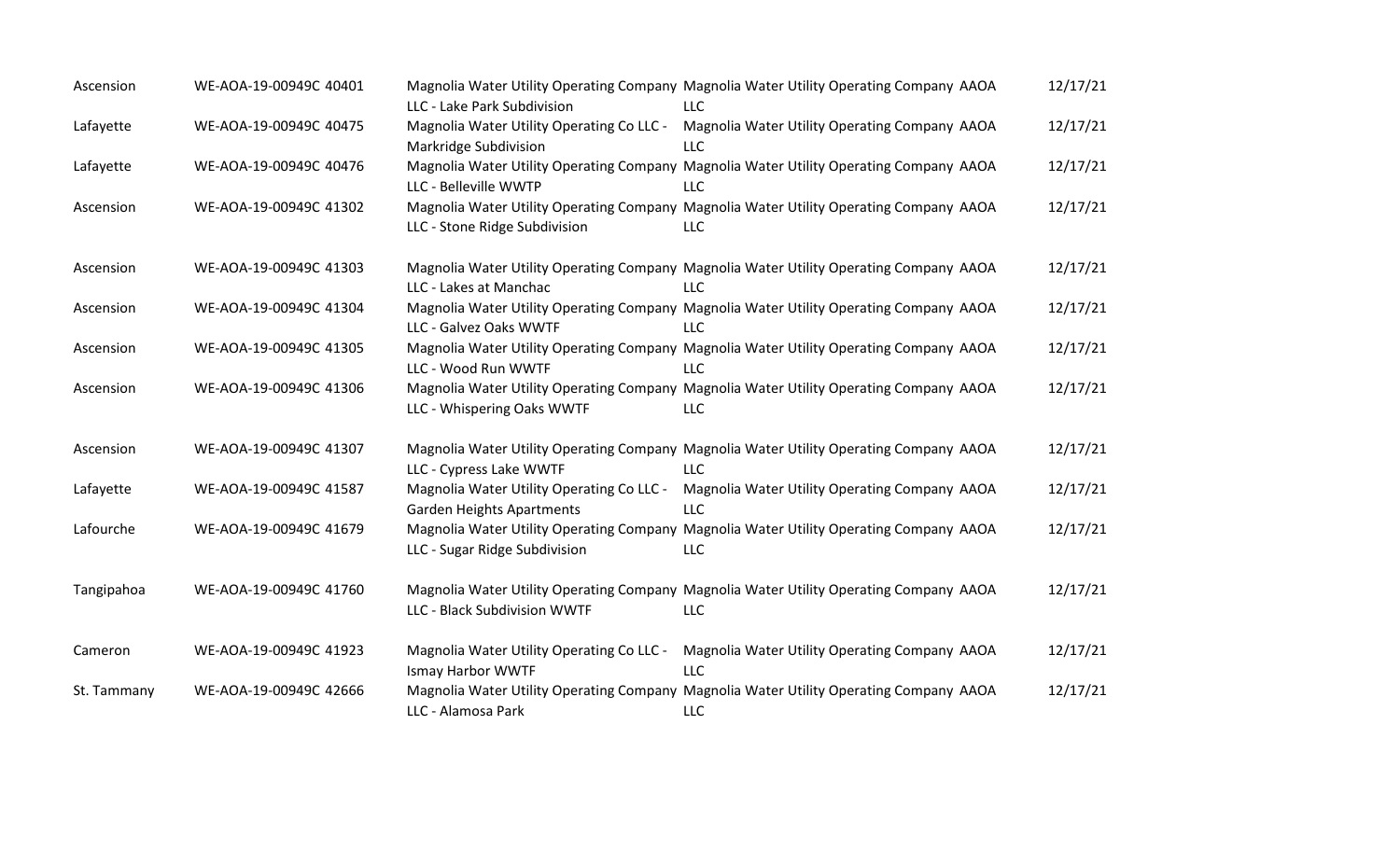| Ascension   | WE-AOA-19-00949C 40401 | LLC - Lake Park Subdivision                                                   | Magnolia Water Utility Operating Company Magnolia Water Utility Operating Company AAOA<br>LLC        | 12/17/21 |
|-------------|------------------------|-------------------------------------------------------------------------------|------------------------------------------------------------------------------------------------------|----------|
| Lafayette   | WE-AOA-19-00949C 40475 | Magnolia Water Utility Operating Co LLC -<br>Markridge Subdivision            | Magnolia Water Utility Operating Company AAOA<br>LLC                                                 | 12/17/21 |
| Lafayette   | WE-AOA-19-00949C 40476 | LLC - Belleville WWTP                                                         | Magnolia Water Utility Operating Company Magnolia Water Utility Operating Company AAOA<br>LLC        | 12/17/21 |
| Ascension   | WE-AOA-19-00949C 41302 | LLC - Stone Ridge Subdivision                                                 | Magnolia Water Utility Operating Company Magnolia Water Utility Operating Company AAOA<br>LLC        | 12/17/21 |
| Ascension   | WE-AOA-19-00949C 41303 | LLC - Lakes at Manchac                                                        | Magnolia Water Utility Operating Company Magnolia Water Utility Operating Company AAOA<br>LLC        | 12/17/21 |
| Ascension   | WE-AOA-19-00949C 41304 | LLC - Galvez Oaks WWTF                                                        | Magnolia Water Utility Operating Company Magnolia Water Utility Operating Company AAOA<br><b>LLC</b> | 12/17/21 |
| Ascension   | WE-AOA-19-00949C 41305 | LLC - Wood Run WWTF                                                           | Magnolia Water Utility Operating Company Magnolia Water Utility Operating Company AAOA<br>LLC        | 12/17/21 |
| Ascension   | WE-AOA-19-00949C 41306 | LLC - Whispering Oaks WWTF                                                    | Magnolia Water Utility Operating Company Magnolia Water Utility Operating Company AAOA<br><b>LLC</b> | 12/17/21 |
| Ascension   | WE-AOA-19-00949C 41307 | LLC - Cypress Lake WWTF                                                       | Magnolia Water Utility Operating Company Magnolia Water Utility Operating Company AAOA<br><b>LLC</b> | 12/17/21 |
| Lafayette   | WE-AOA-19-00949C 41587 | Magnolia Water Utility Operating Co LLC -<br><b>Garden Heights Apartments</b> | Magnolia Water Utility Operating Company AAOA<br>LLC                                                 | 12/17/21 |
| Lafourche   | WE-AOA-19-00949C 41679 | LLC - Sugar Ridge Subdivision                                                 | Magnolia Water Utility Operating Company Magnolia Water Utility Operating Company AAOA<br>ЩC         | 12/17/21 |
| Tangipahoa  | WE-AOA-19-00949C 41760 | LLC - Black Subdivision WWTF                                                  | Magnolia Water Utility Operating Company Magnolia Water Utility Operating Company AAOA<br><b>LLC</b> | 12/17/21 |
| Cameron     | WE-AOA-19-00949C 41923 | Magnolia Water Utility Operating Co LLC -<br><b>Ismay Harbor WWTF</b>         | Magnolia Water Utility Operating Company AAOA<br>LLC                                                 | 12/17/21 |
| St. Tammany | WE-AOA-19-00949C 42666 | LLC - Alamosa Park                                                            | Magnolia Water Utility Operating Company Magnolia Water Utility Operating Company AAOA<br>LLC        | 12/17/21 |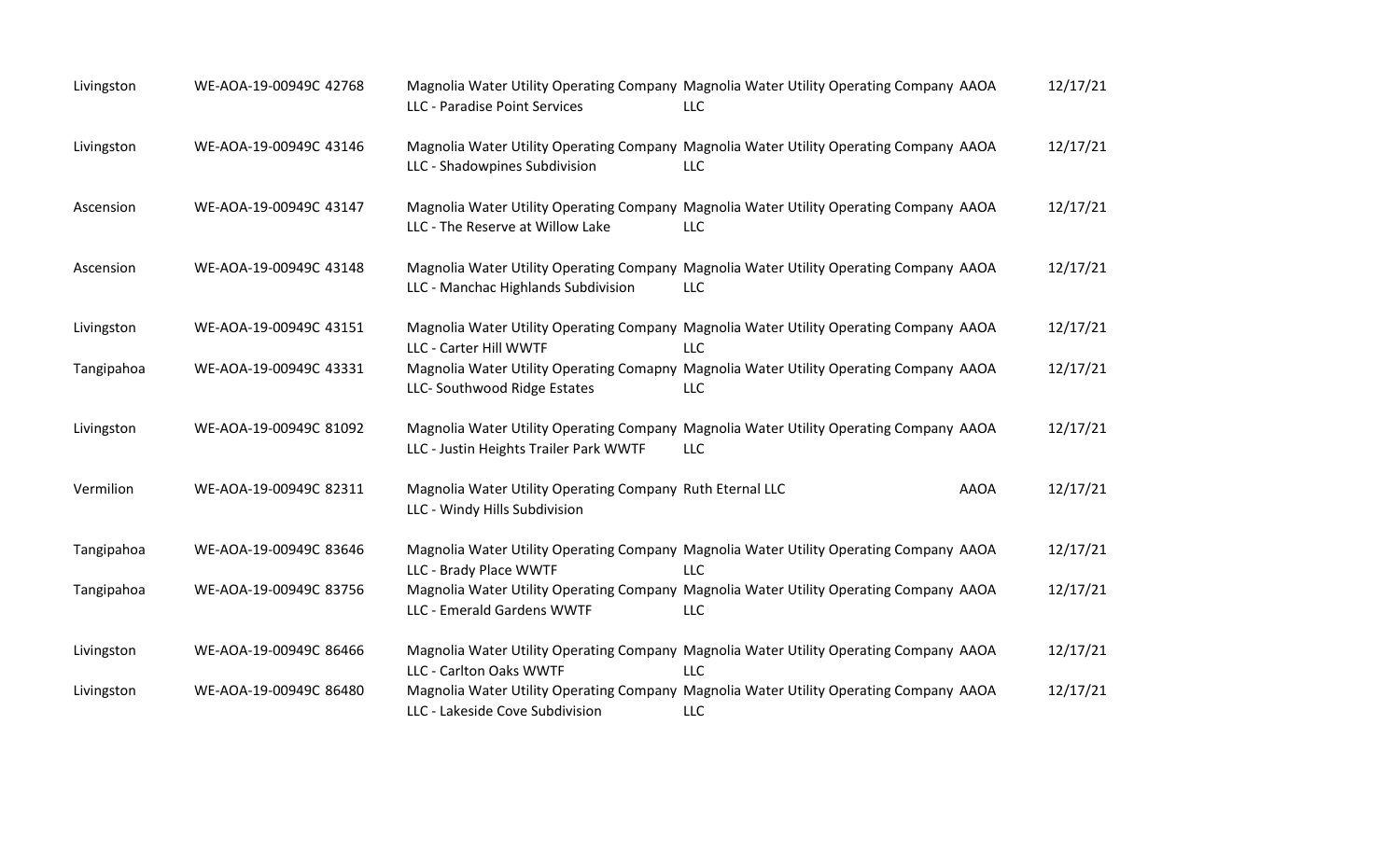| Livingston | WE-AOA-19-00949C 42768 | LLC - Paradise Point Services                                                              | Magnolia Water Utility Operating Company Magnolia Water Utility Operating Company AAOA<br><b>LLC</b> | 12/17/21 |
|------------|------------------------|--------------------------------------------------------------------------------------------|------------------------------------------------------------------------------------------------------|----------|
| Livingston | WE-AOA-19-00949C 43146 | LLC - Shadowpines Subdivision                                                              | Magnolia Water Utility Operating Company Magnolia Water Utility Operating Company AAOA<br><b>LLC</b> | 12/17/21 |
| Ascension  | WE-AOA-19-00949C 43147 | LLC - The Reserve at Willow Lake                                                           | Magnolia Water Utility Operating Company Magnolia Water Utility Operating Company AAOA<br><b>LLC</b> | 12/17/21 |
| Ascension  | WE-AOA-19-00949C 43148 | LLC - Manchac Highlands Subdivision                                                        | Magnolia Water Utility Operating Company Magnolia Water Utility Operating Company AAOA<br><b>LLC</b> | 12/17/21 |
| Livingston | WE-AOA-19-00949C 43151 | LLC - Carter Hill WWTF                                                                     | Magnolia Water Utility Operating Company Magnolia Water Utility Operating Company AAOA<br><b>LLC</b> | 12/17/21 |
| Tangipahoa | WE-AOA-19-00949C 43331 | LLC- Southwood Ridge Estates                                                               | Magnolia Water Utility Operating Comapny Magnolia Water Utility Operating Company AAOA<br><b>LLC</b> | 12/17/21 |
| Livingston | WE-AOA-19-00949C 81092 | LLC - Justin Heights Trailer Park WWTF                                                     | Magnolia Water Utility Operating Company Magnolia Water Utility Operating Company AAOA<br>LLC        | 12/17/21 |
| Vermilion  | WE-AOA-19-00949C 82311 | Magnolia Water Utility Operating Company Ruth Eternal LLC<br>LLC - Windy Hills Subdivision | <b>AAOA</b>                                                                                          | 12/17/21 |
| Tangipahoa | WE-AOA-19-00949C 83646 | LLC - Brady Place WWTF                                                                     | Magnolia Water Utility Operating Company Magnolia Water Utility Operating Company AAOA<br><b>LLC</b> | 12/17/21 |
| Tangipahoa | WE-AOA-19-00949C 83756 | LLC - Emerald Gardens WWTF                                                                 | Magnolia Water Utility Operating Company Magnolia Water Utility Operating Company AAOA<br><b>LLC</b> | 12/17/21 |
| Livingston | WE-AOA-19-00949C 86466 | LLC - Carlton Oaks WWTF                                                                    | Magnolia Water Utility Operating Company Magnolia Water Utility Operating Company AAOA<br><b>LLC</b> | 12/17/21 |
| Livingston | WE-AOA-19-00949C 86480 | LLC - Lakeside Cove Subdivision                                                            | Magnolia Water Utility Operating Company Magnolia Water Utility Operating Company AAOA<br><b>LLC</b> | 12/17/21 |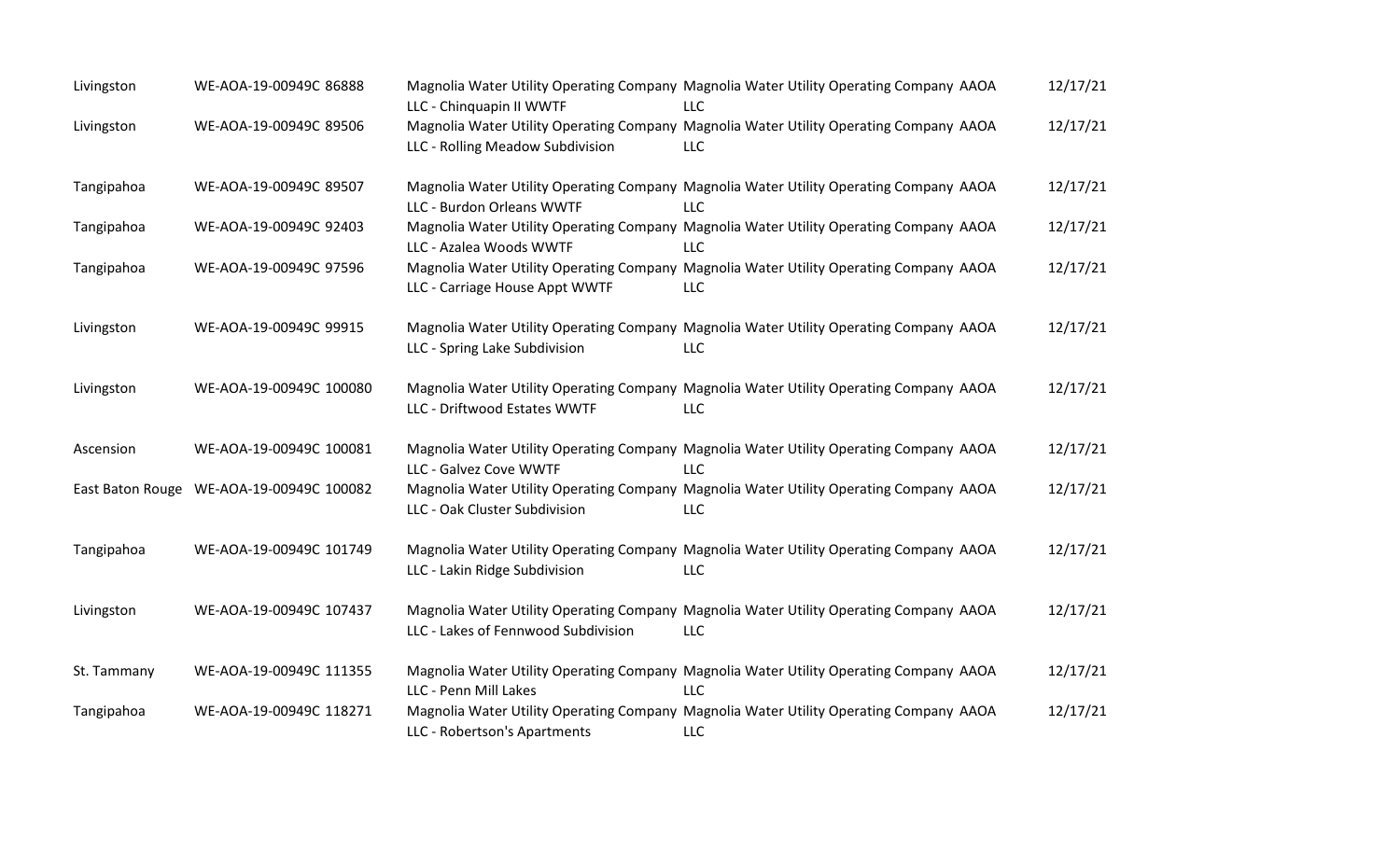| Livingston  | WE-AOA-19-00949C 86888                   | LLC - Chinquapin II WWTF            | Magnolia Water Utility Operating Company Magnolia Water Utility Operating Company AAOA<br>LLC        | 12/17/21 |
|-------------|------------------------------------------|-------------------------------------|------------------------------------------------------------------------------------------------------|----------|
| Livingston  | WE-AOA-19-00949C 89506                   | LLC - Rolling Meadow Subdivision    | Magnolia Water Utility Operating Company Magnolia Water Utility Operating Company AAOA<br><b>LLC</b> | 12/17/21 |
| Tangipahoa  | WE-AOA-19-00949C 89507                   | LLC - Burdon Orleans WWTF           | Magnolia Water Utility Operating Company Magnolia Water Utility Operating Company AAOA<br><b>LLC</b> | 12/17/21 |
| Tangipahoa  | WE-AOA-19-00949C 92403                   | LLC - Azalea Woods WWTF             | Magnolia Water Utility Operating Company Magnolia Water Utility Operating Company AAOA<br>LLC        | 12/17/21 |
| Tangipahoa  | WE-AOA-19-00949C 97596                   | LLC - Carriage House Appt WWTF      | Magnolia Water Utility Operating Company Magnolia Water Utility Operating Company AAOA<br>LLC        | 12/17/21 |
| Livingston  | WE-AOA-19-00949C 99915                   | LLC - Spring Lake Subdivision       | Magnolia Water Utility Operating Company Magnolia Water Utility Operating Company AAOA<br><b>LLC</b> | 12/17/21 |
| Livingston  | WE-AOA-19-00949C 100080                  | LLC - Driftwood Estates WWTF        | Magnolia Water Utility Operating Company Magnolia Water Utility Operating Company AAOA<br><b>LLC</b> | 12/17/21 |
| Ascension   | WE-AOA-19-00949C 100081                  | LLC - Galvez Cove WWTF              | Magnolia Water Utility Operating Company Magnolia Water Utility Operating Company AAOA<br><b>LLC</b> | 12/17/21 |
|             | East Baton Rouge WE-AOA-19-00949C 100082 | LLC - Oak Cluster Subdivision       | Magnolia Water Utility Operating Company Magnolia Water Utility Operating Company AAOA<br>LLC        | 12/17/21 |
| Tangipahoa  | WE-AOA-19-00949C 101749                  | LLC - Lakin Ridge Subdivision       | Magnolia Water Utility Operating Company Magnolia Water Utility Operating Company AAOA<br><b>LLC</b> | 12/17/21 |
| Livingston  | WE-AOA-19-00949C 107437                  | LLC - Lakes of Fennwood Subdivision | Magnolia Water Utility Operating Company Magnolia Water Utility Operating Company AAOA<br><b>LLC</b> | 12/17/21 |
| St. Tammany | WE-AOA-19-00949C 111355                  | LLC - Penn Mill Lakes               | Magnolia Water Utility Operating Company Magnolia Water Utility Operating Company AAOA<br><b>LLC</b> | 12/17/21 |
| Tangipahoa  | WE-AOA-19-00949C 118271                  | LLC - Robertson's Apartments        | Magnolia Water Utility Operating Company Magnolia Water Utility Operating Company AAOA<br><b>LLC</b> | 12/17/21 |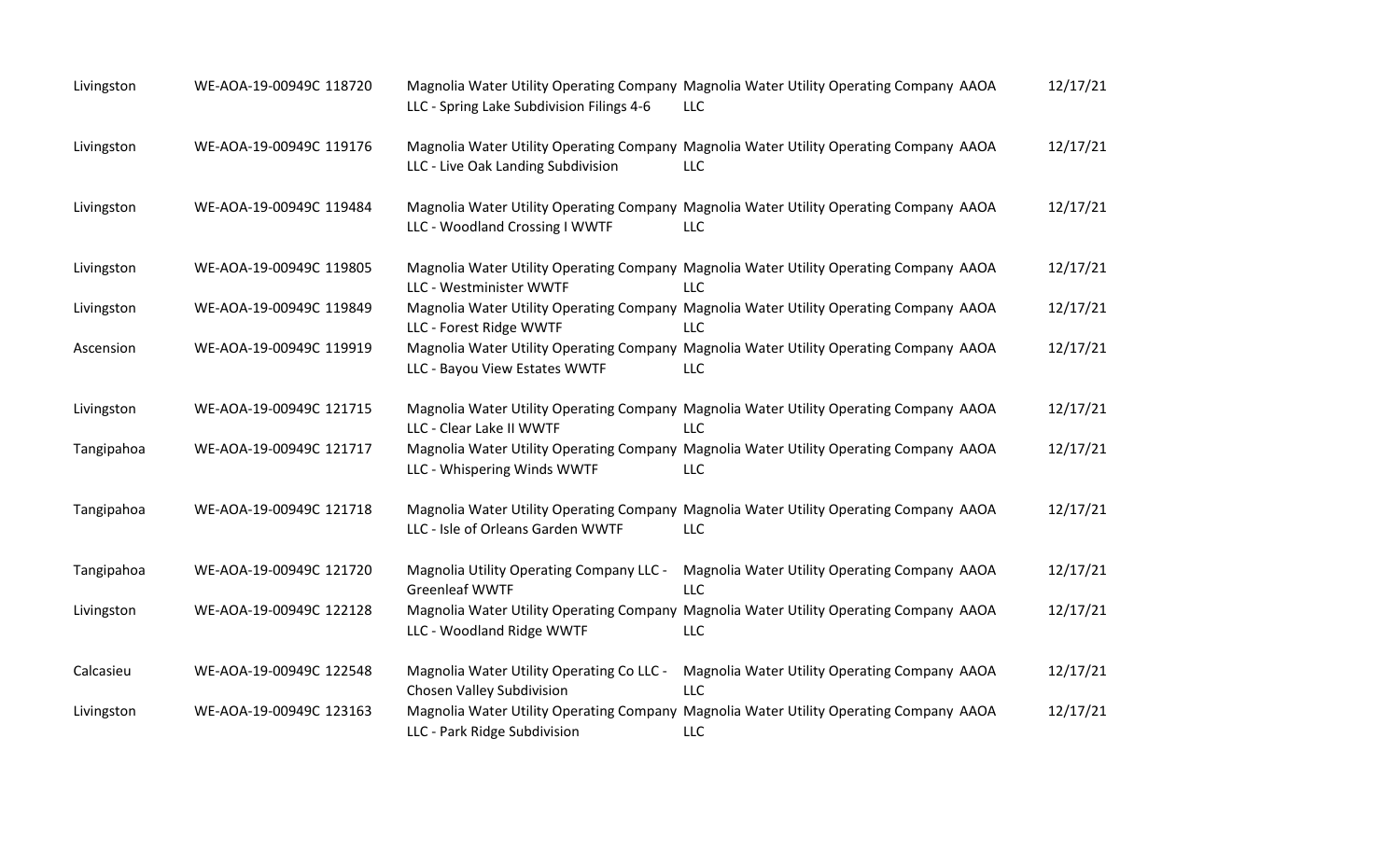| Livingston | WE-AOA-19-00949C 118720 | LLC - Spring Lake Subdivision Filings 4-6                              | Magnolia Water Utility Operating Company Magnolia Water Utility Operating Company AAOA<br>LLC        | 12/17/21 |
|------------|-------------------------|------------------------------------------------------------------------|------------------------------------------------------------------------------------------------------|----------|
| Livingston | WE-AOA-19-00949C 119176 | LLC - Live Oak Landing Subdivision                                     | Magnolia Water Utility Operating Company Magnolia Water Utility Operating Company AAOA<br>LLC        | 12/17/21 |
| Livingston | WE-AOA-19-00949C 119484 | LLC - Woodland Crossing I WWTF                                         | Magnolia Water Utility Operating Company Magnolia Water Utility Operating Company AAOA<br>LLC        | 12/17/21 |
| Livingston | WE-AOA-19-00949C 119805 | LLC - Westminister WWTF                                                | Magnolia Water Utility Operating Company Magnolia Water Utility Operating Company AAOA<br><b>LLC</b> | 12/17/21 |
| Livingston | WE-AOA-19-00949C 119849 | LLC - Forest Ridge WWTF                                                | Magnolia Water Utility Operating Company Magnolia Water Utility Operating Company AAOA<br><b>LLC</b> | 12/17/21 |
| Ascension  | WE-AOA-19-00949C 119919 | LLC - Bayou View Estates WWTF                                          | Magnolia Water Utility Operating Company Magnolia Water Utility Operating Company AAOA<br>LLC        | 12/17/21 |
| Livingston | WE-AOA-19-00949C 121715 | LLC - Clear Lake II WWTF                                               | Magnolia Water Utility Operating Company Magnolia Water Utility Operating Company AAOA<br><b>LLC</b> | 12/17/21 |
| Tangipahoa | WE-AOA-19-00949C 121717 | LLC - Whispering Winds WWTF                                            | Magnolia Water Utility Operating Company Magnolia Water Utility Operating Company AAOA<br>LLC        | 12/17/21 |
| Tangipahoa | WE-AOA-19-00949C 121718 | LLC - Isle of Orleans Garden WWTF                                      | Magnolia Water Utility Operating Company Magnolia Water Utility Operating Company AAOA<br>LLC        | 12/17/21 |
| Tangipahoa | WE-AOA-19-00949C 121720 | Magnolia Utility Operating Company LLC -<br><b>Greenleaf WWTF</b>      | Magnolia Water Utility Operating Company AAOA<br><b>LLC</b>                                          | 12/17/21 |
| Livingston | WE-AOA-19-00949C 122128 | LLC - Woodland Ridge WWTF                                              | Magnolia Water Utility Operating Company Magnolia Water Utility Operating Company AAOA<br>LLC        | 12/17/21 |
| Calcasieu  | WE-AOA-19-00949C 122548 | Magnolia Water Utility Operating Co LLC -<br>Chosen Valley Subdivision | Magnolia Water Utility Operating Company AAOA<br><b>LLC</b>                                          | 12/17/21 |
| Livingston | WE-AOA-19-00949C 123163 | LLC - Park Ridge Subdivision                                           | Magnolia Water Utility Operating Company Magnolia Water Utility Operating Company AAOA<br>LLC        | 12/17/21 |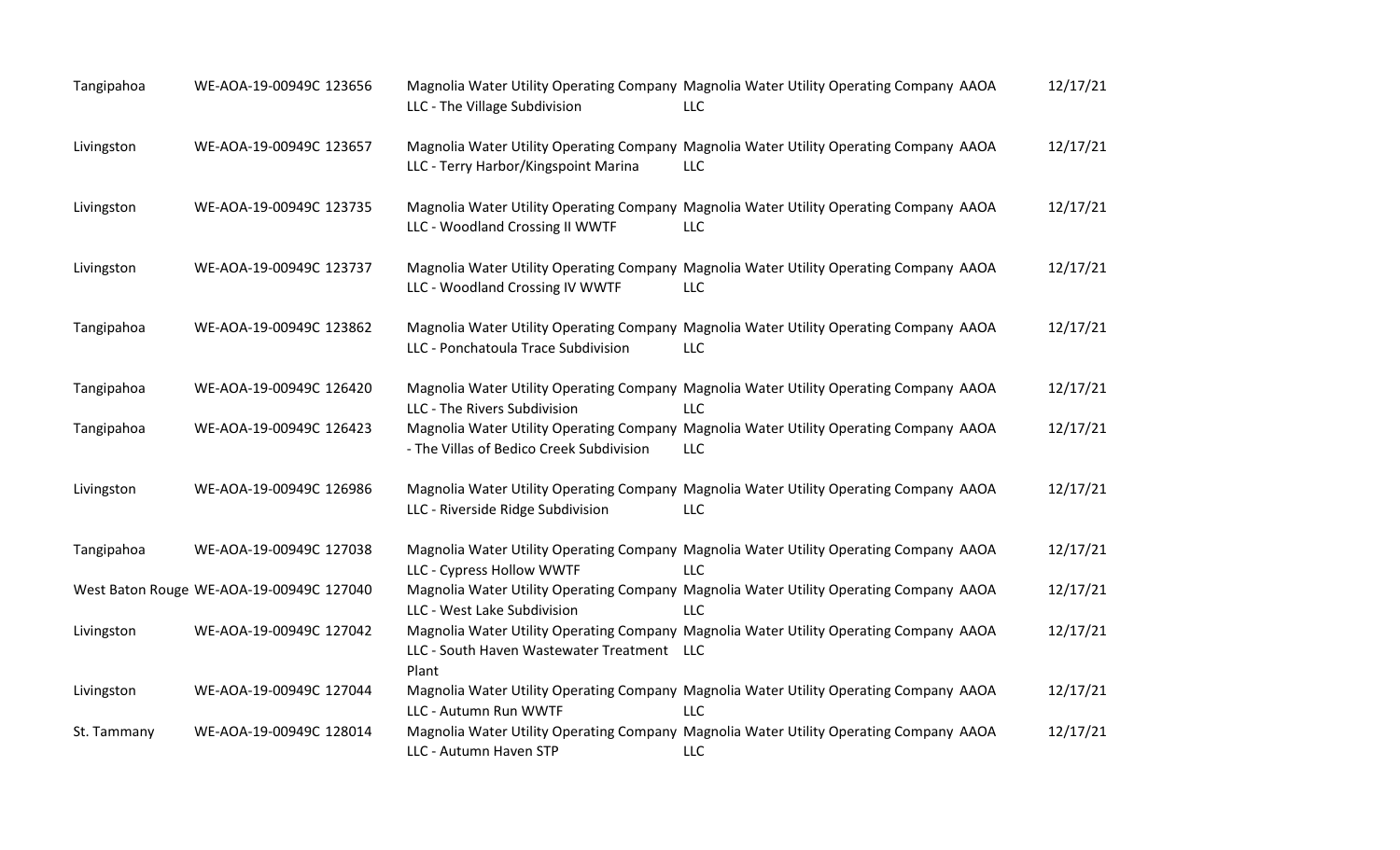| Tangipahoa  | WE-AOA-19-00949C 123656                  | LLC - The Village Subdivision                       | Magnolia Water Utility Operating Company Magnolia Water Utility Operating Company AAOA<br><b>LLC</b> | 12/17/21 |
|-------------|------------------------------------------|-----------------------------------------------------|------------------------------------------------------------------------------------------------------|----------|
| Livingston  | WE-AOA-19-00949C 123657                  | LLC - Terry Harbor/Kingspoint Marina                | Magnolia Water Utility Operating Company Magnolia Water Utility Operating Company AAOA<br>LLC        | 12/17/21 |
| Livingston  | WE-AOA-19-00949C 123735                  | LLC - Woodland Crossing II WWTF                     | Magnolia Water Utility Operating Company Magnolia Water Utility Operating Company AAOA<br>LLC        | 12/17/21 |
| Livingston  | WE-AOA-19-00949C 123737                  | LLC - Woodland Crossing IV WWTF                     | Magnolia Water Utility Operating Company Magnolia Water Utility Operating Company AAOA<br>LLC        | 12/17/21 |
| Tangipahoa  | WE-AOA-19-00949C 123862                  | LLC - Ponchatoula Trace Subdivision                 | Magnolia Water Utility Operating Company Magnolia Water Utility Operating Company AAOA<br><b>LLC</b> | 12/17/21 |
| Tangipahoa  | WE-AOA-19-00949C 126420                  | LLC - The Rivers Subdivision                        | Magnolia Water Utility Operating Company Magnolia Water Utility Operating Company AAOA<br><b>LLC</b> | 12/17/21 |
| Tangipahoa  | WE-AOA-19-00949C 126423                  | - The Villas of Bedico Creek Subdivision            | Magnolia Water Utility Operating Company Magnolia Water Utility Operating Company AAOA<br>LLC        | 12/17/21 |
| Livingston  | WE-AOA-19-00949C 126986                  | LLC - Riverside Ridge Subdivision                   | Magnolia Water Utility Operating Company Magnolia Water Utility Operating Company AAOA<br><b>LLC</b> | 12/17/21 |
| Tangipahoa  | WE-AOA-19-00949C 127038                  | LLC - Cypress Hollow WWTF                           | Magnolia Water Utility Operating Company Magnolia Water Utility Operating Company AAOA<br>LLC        | 12/17/21 |
|             | West Baton Rouge WE-AOA-19-00949C 127040 | LLC - West Lake Subdivision                         | Magnolia Water Utility Operating Company Magnolia Water Utility Operating Company AAOA<br><b>LLC</b> | 12/17/21 |
| Livingston  | WE-AOA-19-00949C 127042                  | LLC - South Haven Wastewater Treatment LLC<br>Plant | Magnolia Water Utility Operating Company Magnolia Water Utility Operating Company AAOA               | 12/17/21 |
| Livingston  | WE-AOA-19-00949C 127044                  | LLC - Autumn Run WWTF                               | Magnolia Water Utility Operating Company Magnolia Water Utility Operating Company AAOA<br>LLC        | 12/17/21 |
| St. Tammany | WE-AOA-19-00949C 128014                  | LLC - Autumn Haven STP                              | Magnolia Water Utility Operating Company Magnolia Water Utility Operating Company AAOA<br>LLC        | 12/17/21 |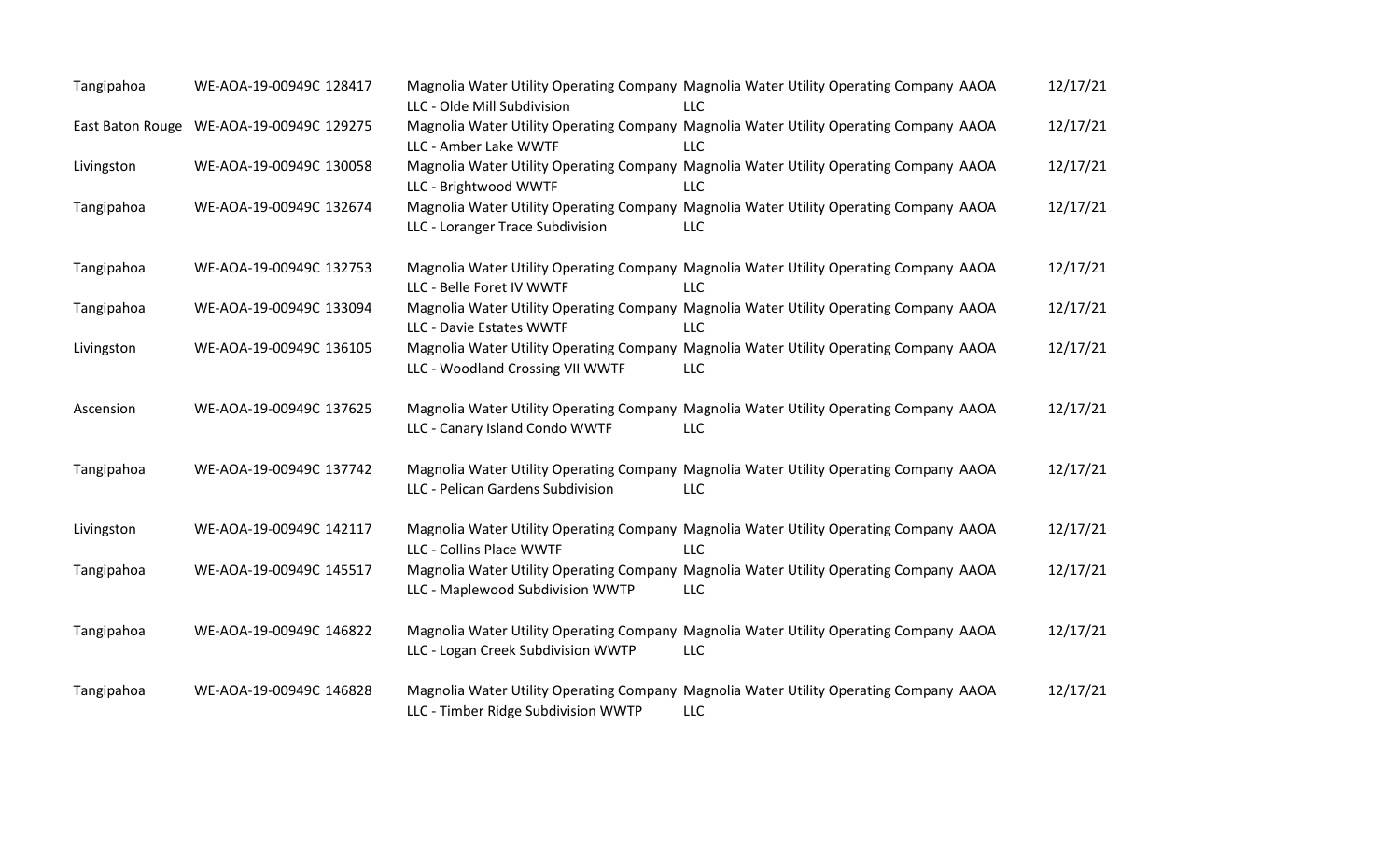| Tangipahoa | WE-AOA-19-00949C 128417                  | LLC - Olde Mill Subdivision         | Magnolia Water Utility Operating Company Magnolia Water Utility Operating Company AAOA<br>LLC        | 12/17/21 |
|------------|------------------------------------------|-------------------------------------|------------------------------------------------------------------------------------------------------|----------|
|            | East Baton Rouge WE-AOA-19-00949C 129275 | LLC - Amber Lake WWTF               | Magnolia Water Utility Operating Company Magnolia Water Utility Operating Company AAOA<br>LLC        | 12/17/21 |
| Livingston | WE-AOA-19-00949C 130058                  | LLC - Brightwood WWTF               | Magnolia Water Utility Operating Company Magnolia Water Utility Operating Company AAOA<br>LLC        | 12/17/21 |
| Tangipahoa | WE-AOA-19-00949C 132674                  | LLC - Loranger Trace Subdivision    | Magnolia Water Utility Operating Company Magnolia Water Utility Operating Company AAOA<br>LLC        | 12/17/21 |
| Tangipahoa | WE-AOA-19-00949C 132753                  | LLC - Belle Foret IV WWTF           | Magnolia Water Utility Operating Company Magnolia Water Utility Operating Company AAOA<br>LLC        | 12/17/21 |
| Tangipahoa | WE-AOA-19-00949C 133094                  | LLC - Davie Estates WWTF            | Magnolia Water Utility Operating Company Magnolia Water Utility Operating Company AAOA<br>LLC        | 12/17/21 |
| Livingston | WE-AOA-19-00949C 136105                  | LLC - Woodland Crossing VII WWTF    | Magnolia Water Utility Operating Company Magnolia Water Utility Operating Company AAOA<br>LLC        | 12/17/21 |
| Ascension  | WE-AOA-19-00949C 137625                  | LLC - Canary Island Condo WWTF      | Magnolia Water Utility Operating Company Magnolia Water Utility Operating Company AAOA<br>LLC        | 12/17/21 |
| Tangipahoa | WE-AOA-19-00949C 137742                  | LLC - Pelican Gardens Subdivision   | Magnolia Water Utility Operating Company Magnolia Water Utility Operating Company AAOA<br>LLC        | 12/17/21 |
| Livingston | WE-AOA-19-00949C 142117                  | LLC - Collins Place WWTF            | Magnolia Water Utility Operating Company Magnolia Water Utility Operating Company AAOA<br>LLC        | 12/17/21 |
| Tangipahoa | WE-AOA-19-00949C 145517                  | LLC - Maplewood Subdivision WWTP    | Magnolia Water Utility Operating Company Magnolia Water Utility Operating Company AAOA<br>LLC        | 12/17/21 |
| Tangipahoa | WE-AOA-19-00949C 146822                  | LLC - Logan Creek Subdivision WWTP  | Magnolia Water Utility Operating Company Magnolia Water Utility Operating Company AAOA<br><b>LLC</b> | 12/17/21 |
| Tangipahoa | WE-AOA-19-00949C 146828                  | LLC - Timber Ridge Subdivision WWTP | Magnolia Water Utility Operating Company Magnolia Water Utility Operating Company AAOA<br><b>LLC</b> | 12/17/21 |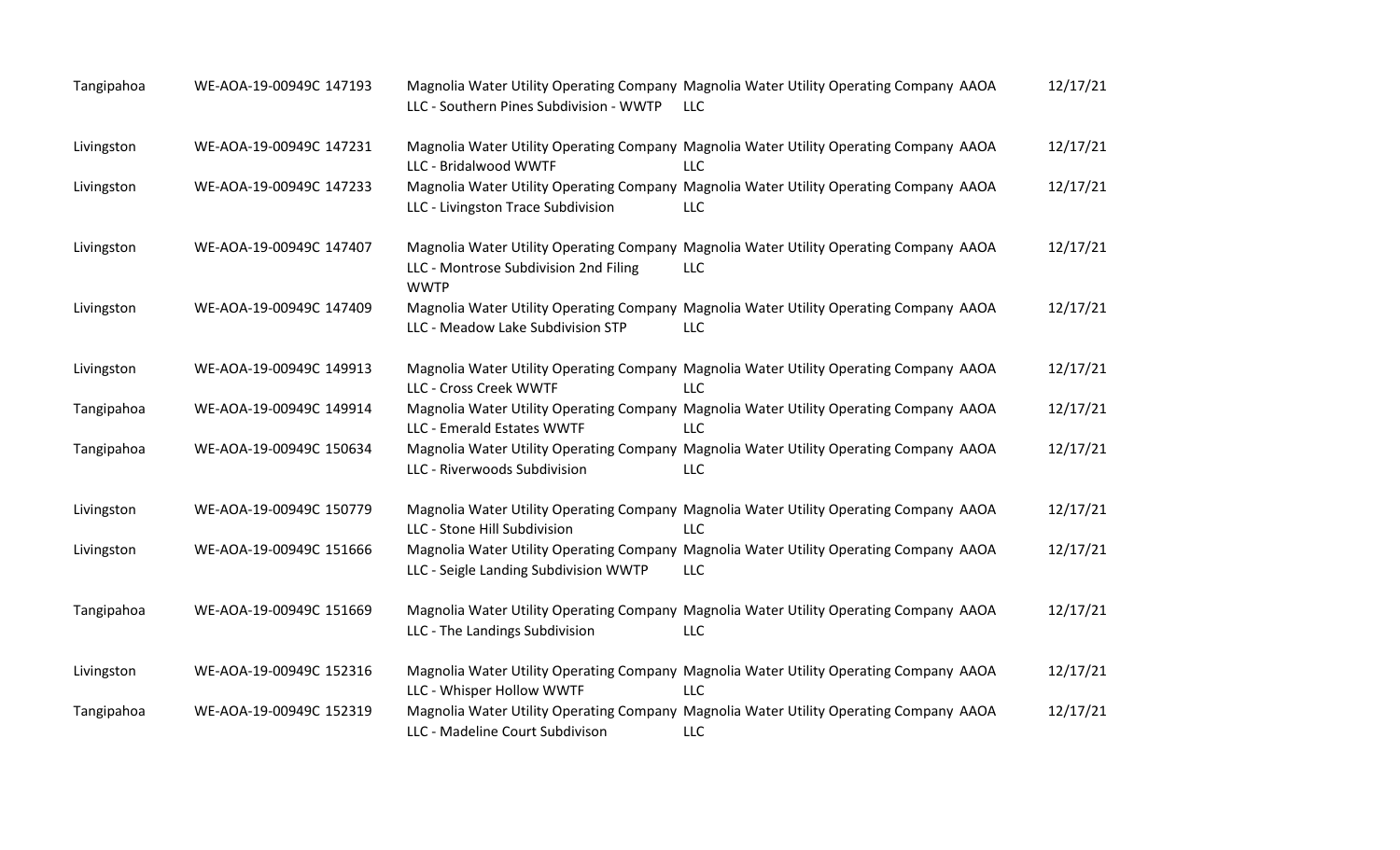| Tangipahoa | WE-AOA-19-00949C 147193 | LLC - Southern Pines Subdivision - WWTP              | Magnolia Water Utility Operating Company Magnolia Water Utility Operating Company AAOA<br><b>LLC</b> | 12/17/21 |
|------------|-------------------------|------------------------------------------------------|------------------------------------------------------------------------------------------------------|----------|
| Livingston | WE-AOA-19-00949C 147231 | LLC - Bridalwood WWTF                                | Magnolia Water Utility Operating Company Magnolia Water Utility Operating Company AAOA<br><b>LLC</b> | 12/17/21 |
| Livingston | WE-AOA-19-00949C 147233 | LLC - Livingston Trace Subdivision                   | Magnolia Water Utility Operating Company Magnolia Water Utility Operating Company AAOA<br>LLC        | 12/17/21 |
| Livingston | WE-AOA-19-00949C 147407 | LLC - Montrose Subdivision 2nd Filing<br><b>WWTP</b> | Magnolia Water Utility Operating Company Magnolia Water Utility Operating Company AAOA<br>LLC        | 12/17/21 |
| Livingston | WE-AOA-19-00949C 147409 | LLC - Meadow Lake Subdivision STP                    | Magnolia Water Utility Operating Company Magnolia Water Utility Operating Company AAOA<br><b>LLC</b> | 12/17/21 |
| Livingston | WE-AOA-19-00949C 149913 | LLC - Cross Creek WWTF                               | Magnolia Water Utility Operating Company Magnolia Water Utility Operating Company AAOA<br><b>LLC</b> | 12/17/21 |
| Tangipahoa | WE-AOA-19-00949C 149914 | LLC - Emerald Estates WWTF                           | Magnolia Water Utility Operating Company Magnolia Water Utility Operating Company AAOA<br><b>LLC</b> | 12/17/21 |
| Tangipahoa | WE-AOA-19-00949C 150634 | LLC - Riverwoods Subdivision                         | Magnolia Water Utility Operating Company Magnolia Water Utility Operating Company AAOA<br><b>LLC</b> | 12/17/21 |
| Livingston | WE-AOA-19-00949C 150779 | LLC - Stone Hill Subdivision                         | Magnolia Water Utility Operating Company Magnolia Water Utility Operating Company AAOA<br><b>LLC</b> | 12/17/21 |
| Livingston | WE-AOA-19-00949C 151666 | LLC - Seigle Landing Subdivision WWTP                | Magnolia Water Utility Operating Company Magnolia Water Utility Operating Company AAOA<br><b>LLC</b> | 12/17/21 |
| Tangipahoa | WE-AOA-19-00949C 151669 | LLC - The Landings Subdivision                       | Magnolia Water Utility Operating Company Magnolia Water Utility Operating Company AAOA<br><b>LLC</b> | 12/17/21 |
| Livingston | WE-AOA-19-00949C 152316 | LLC - Whisper Hollow WWTF                            | Magnolia Water Utility Operating Company Magnolia Water Utility Operating Company AAOA<br><b>LLC</b> | 12/17/21 |
| Tangipahoa | WE-AOA-19-00949C 152319 | LLC - Madeline Court Subdivison                      | Magnolia Water Utility Operating Company Magnolia Water Utility Operating Company AAOA<br><b>LLC</b> | 12/17/21 |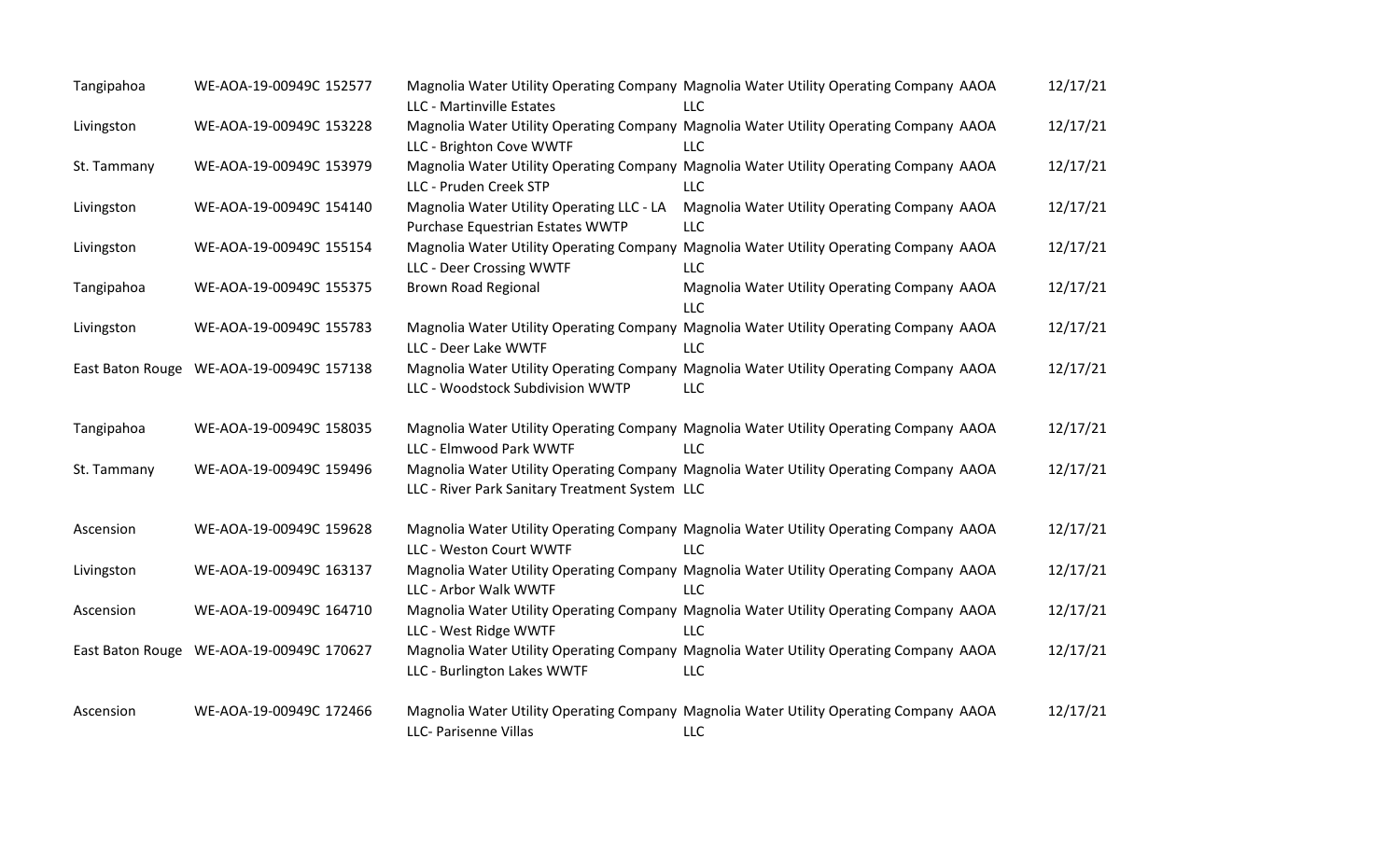| Tangipahoa  | WE-AOA-19-00949C 152577                  | LLC - Martinville Estates                                                     | Magnolia Water Utility Operating Company Magnolia Water Utility Operating Company AAOA<br>LLC        | 12/17/21 |
|-------------|------------------------------------------|-------------------------------------------------------------------------------|------------------------------------------------------------------------------------------------------|----------|
| Livingston  | WE-AOA-19-00949C 153228                  | LLC - Brighton Cove WWTF                                                      | Magnolia Water Utility Operating Company Magnolia Water Utility Operating Company AAOA<br><b>LLC</b> | 12/17/21 |
| St. Tammany | WE-AOA-19-00949C 153979                  | LLC - Pruden Creek STP                                                        | Magnolia Water Utility Operating Company Magnolia Water Utility Operating Company AAOA<br><b>LLC</b> | 12/17/21 |
| Livingston  | WE-AOA-19-00949C 154140                  | Magnolia Water Utility Operating LLC - LA<br>Purchase Equestrian Estates WWTP | Magnolia Water Utility Operating Company AAOA<br><b>LLC</b>                                          | 12/17/21 |
| Livingston  | WE-AOA-19-00949C 155154                  | LLC - Deer Crossing WWTF                                                      | Magnolia Water Utility Operating Company Magnolia Water Utility Operating Company AAOA<br><b>LLC</b> | 12/17/21 |
| Tangipahoa  | WE-AOA-19-00949C 155375                  | <b>Brown Road Regional</b>                                                    | Magnolia Water Utility Operating Company AAOA<br><b>LLC</b>                                          | 12/17/21 |
| Livingston  | WE-AOA-19-00949C 155783                  | LLC - Deer Lake WWTF                                                          | Magnolia Water Utility Operating Company Magnolia Water Utility Operating Company AAOA<br><b>LLC</b> | 12/17/21 |
|             | East Baton Rouge WE-AOA-19-00949C 157138 | LLC - Woodstock Subdivision WWTP                                              | Magnolia Water Utility Operating Company Magnolia Water Utility Operating Company AAOA<br><b>LLC</b> | 12/17/21 |
| Tangipahoa  | WE-AOA-19-00949C 158035                  | LLC - Elmwood Park WWTF                                                       | Magnolia Water Utility Operating Company Magnolia Water Utility Operating Company AAOA<br><b>LLC</b> | 12/17/21 |
| St. Tammany | WE-AOA-19-00949C 159496                  | LLC - River Park Sanitary Treatment System LLC                                | Magnolia Water Utility Operating Company Magnolia Water Utility Operating Company AAOA               | 12/17/21 |
| Ascension   | WE-AOA-19-00949C 159628                  | LLC - Weston Court WWTF                                                       | Magnolia Water Utility Operating Company Magnolia Water Utility Operating Company AAOA<br><b>LLC</b> | 12/17/21 |
| Livingston  | WE-AOA-19-00949C 163137                  | LLC - Arbor Walk WWTF                                                         | Magnolia Water Utility Operating Company Magnolia Water Utility Operating Company AAOA<br><b>LLC</b> | 12/17/21 |
| Ascension   | WE-AOA-19-00949C 164710                  | LLC - West Ridge WWTF                                                         | Magnolia Water Utility Operating Company Magnolia Water Utility Operating Company AAOA<br><b>LLC</b> | 12/17/21 |
|             | East Baton Rouge WE-AOA-19-00949C 170627 | LLC - Burlington Lakes WWTF                                                   | Magnolia Water Utility Operating Company Magnolia Water Utility Operating Company AAOA<br><b>LLC</b> | 12/17/21 |
| Ascension   | WE-AOA-19-00949C 172466                  | LLC- Parisenne Villas                                                         | Magnolia Water Utility Operating Company Magnolia Water Utility Operating Company AAOA<br>LLC        | 12/17/21 |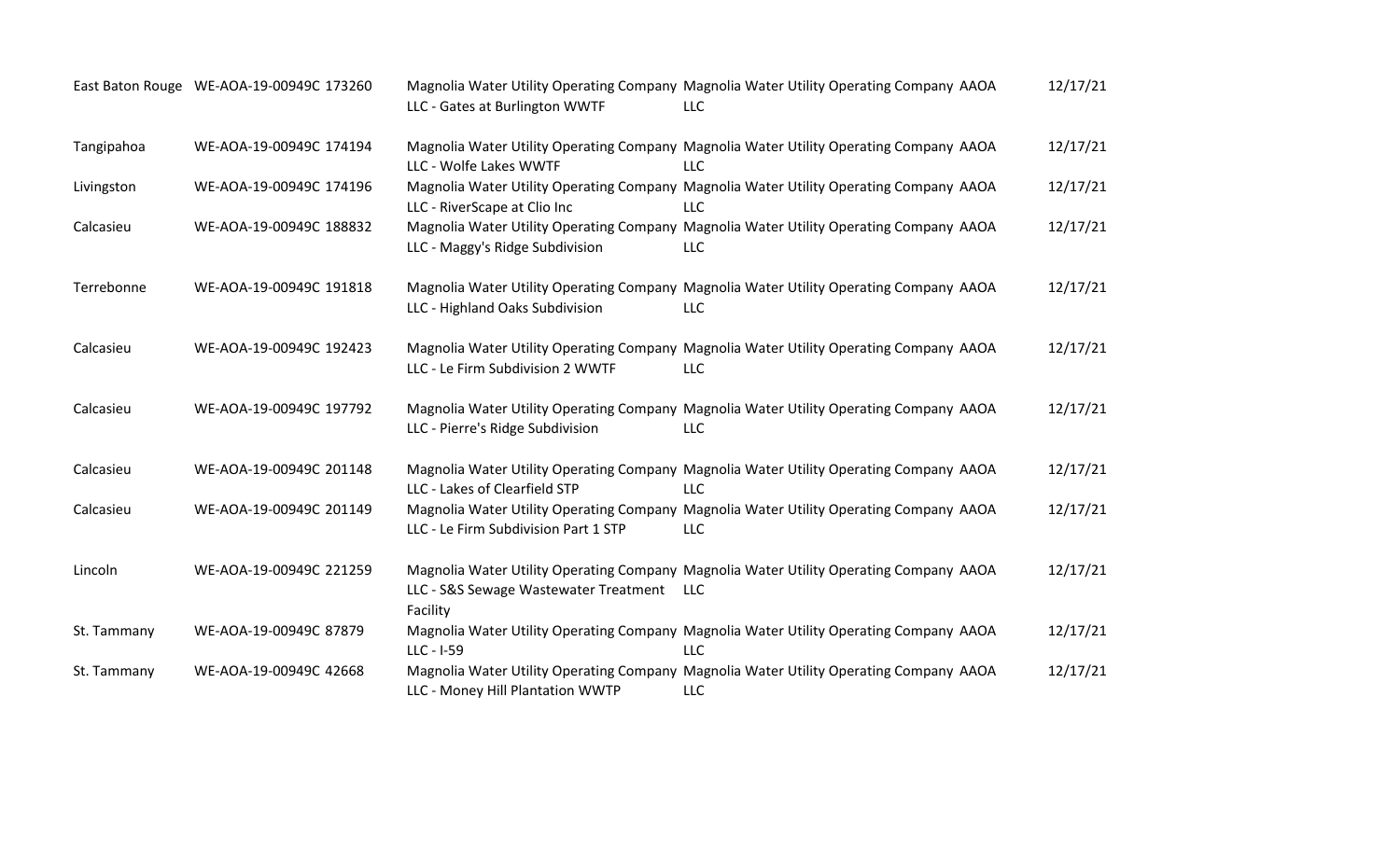|             | East Baton Rouge WE-AOA-19-00949C 173260 | LLC - Gates at Burlington WWTF                        | Magnolia Water Utility Operating Company Magnolia Water Utility Operating Company AAOA<br>LLC.       | 12/17/21 |
|-------------|------------------------------------------|-------------------------------------------------------|------------------------------------------------------------------------------------------------------|----------|
| Tangipahoa  | WE-AOA-19-00949C 174194                  | LLC - Wolfe Lakes WWTF                                | Magnolia Water Utility Operating Company Magnolia Water Utility Operating Company AAOA<br><b>LLC</b> | 12/17/21 |
| Livingston  | WE-AOA-19-00949C 174196                  | LLC - RiverScape at Clio Inc                          | Magnolia Water Utility Operating Company Magnolia Water Utility Operating Company AAOA<br><b>LLC</b> | 12/17/21 |
| Calcasieu   | WE-AOA-19-00949C 188832                  | LLC - Maggy's Ridge Subdivision                       | Magnolia Water Utility Operating Company Magnolia Water Utility Operating Company AAOA<br><b>LLC</b> | 12/17/21 |
| Terrebonne  | WE-AOA-19-00949C 191818                  | LLC - Highland Oaks Subdivision                       | Magnolia Water Utility Operating Company Magnolia Water Utility Operating Company AAOA<br><b>LLC</b> | 12/17/21 |
| Calcasieu   | WE-AOA-19-00949C 192423                  | LLC - Le Firm Subdivision 2 WWTF                      | Magnolia Water Utility Operating Company Magnolia Water Utility Operating Company AAOA<br><b>LLC</b> | 12/17/21 |
| Calcasieu   | WE-AOA-19-00949C 197792                  | LLC - Pierre's Ridge Subdivision                      | Magnolia Water Utility Operating Company Magnolia Water Utility Operating Company AAOA<br>LLC        | 12/17/21 |
| Calcasieu   | WE-AOA-19-00949C 201148                  | LLC - Lakes of Clearfield STP                         | Magnolia Water Utility Operating Company Magnolia Water Utility Operating Company AAOA<br><b>LLC</b> | 12/17/21 |
| Calcasieu   | WE-AOA-19-00949C 201149                  | LLC - Le Firm Subdivision Part 1 STP                  | Magnolia Water Utility Operating Company Magnolia Water Utility Operating Company AAOA<br><b>LLC</b> | 12/17/21 |
| Lincoln     | WE-AOA-19-00949C 221259                  | LLC - S&S Sewage Wastewater Treatment LLC<br>Facility | Magnolia Water Utility Operating Company Magnolia Water Utility Operating Company AAOA               | 12/17/21 |
| St. Tammany | WE-AOA-19-00949C 87879                   | $LLC - I-59$                                          | Magnolia Water Utility Operating Company Magnolia Water Utility Operating Company AAOA<br><b>LLC</b> | 12/17/21 |
| St. Tammany | WE-AOA-19-00949C 42668                   | LLC - Money Hill Plantation WWTP                      | Magnolia Water Utility Operating Company Magnolia Water Utility Operating Company AAOA<br><b>LLC</b> | 12/17/21 |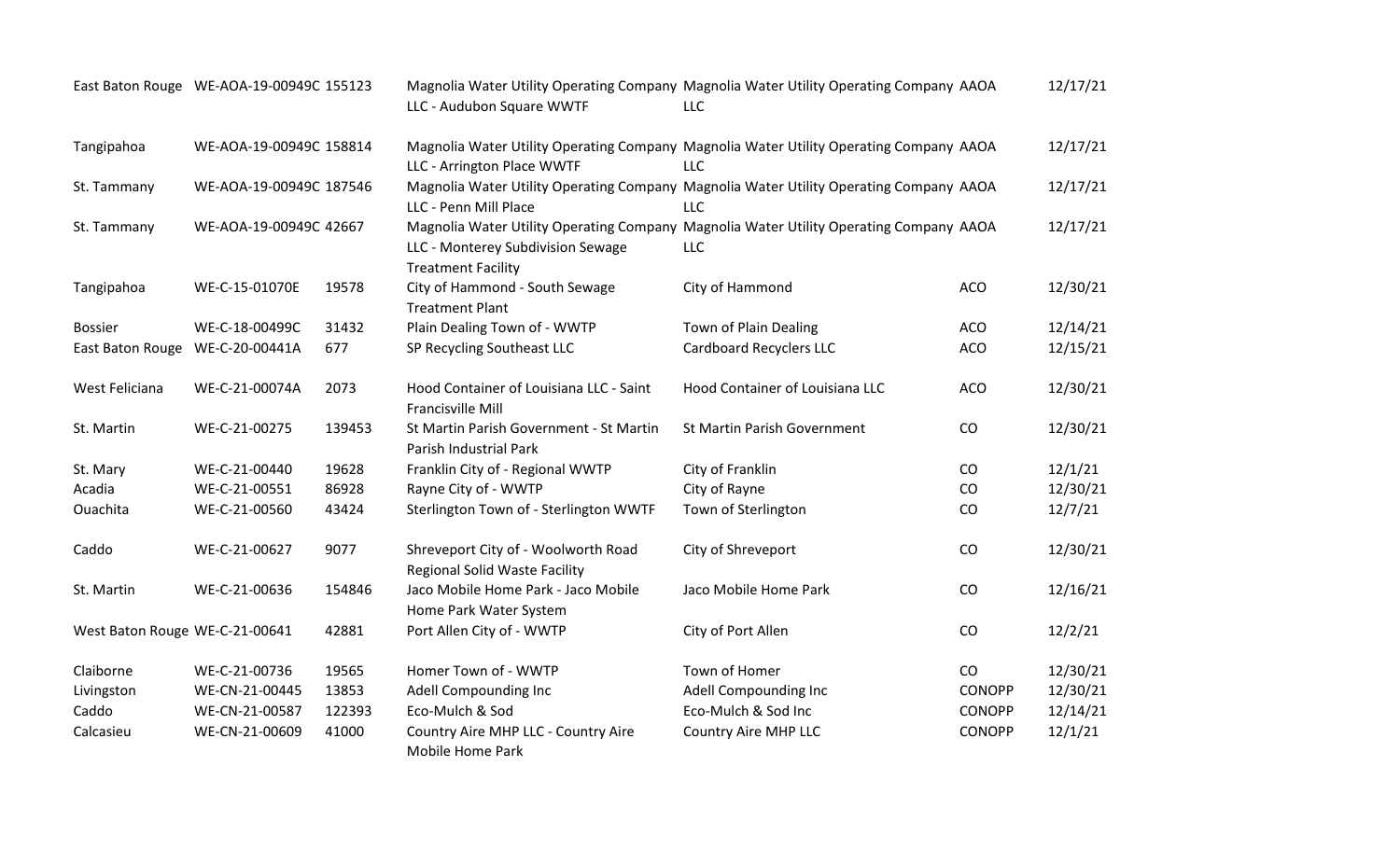|                                | East Baton Rouge WE-AOA-19-00949C 155123 |        | LLC - Audubon Square WWTF                                                   | Magnolia Water Utility Operating Company Magnolia Water Utility Operating Company AAOA<br>LLC        |               | 12/17/21 |
|--------------------------------|------------------------------------------|--------|-----------------------------------------------------------------------------|------------------------------------------------------------------------------------------------------|---------------|----------|
| Tangipahoa                     | WE-AOA-19-00949C 158814                  |        | LLC - Arrington Place WWTF                                                  | Magnolia Water Utility Operating Company Magnolia Water Utility Operating Company AAOA<br><b>LLC</b> |               | 12/17/21 |
| St. Tammany                    | WE-AOA-19-00949C 187546                  |        | LLC - Penn Mill Place                                                       | Magnolia Water Utility Operating Company Magnolia Water Utility Operating Company AAOA<br><b>LLC</b> |               | 12/17/21 |
| St. Tammany                    | WE-AOA-19-00949C 42667                   |        | LLC - Monterey Subdivision Sewage<br><b>Treatment Facility</b>              | Magnolia Water Utility Operating Company Magnolia Water Utility Operating Company AAOA<br><b>LLC</b> |               | 12/17/21 |
| Tangipahoa                     | WE-C-15-01070E                           | 19578  | City of Hammond - South Sewage<br><b>Treatment Plant</b>                    | City of Hammond                                                                                      | <b>ACO</b>    | 12/30/21 |
| <b>Bossier</b>                 | WE-C-18-00499C                           | 31432  | Plain Dealing Town of - WWTP                                                | Town of Plain Dealing                                                                                | <b>ACO</b>    | 12/14/21 |
| East Baton Rouge               | WE-C-20-00441A                           | 677    | SP Recycling Southeast LLC                                                  | <b>Cardboard Recyclers LLC</b>                                                                       | <b>ACO</b>    | 12/15/21 |
| West Feliciana                 | WE-C-21-00074A                           | 2073   | Hood Container of Louisiana LLC - Saint<br>Francisville Mill                | Hood Container of Louisiana LLC                                                                      | <b>ACO</b>    | 12/30/21 |
| St. Martin                     | WE-C-21-00275                            | 139453 | St Martin Parish Government - St Martin<br>Parish Industrial Park           | St Martin Parish Government                                                                          | CO            | 12/30/21 |
| St. Mary                       | WE-C-21-00440                            | 19628  | Franklin City of - Regional WWTP                                            | City of Franklin                                                                                     | CO            | 12/1/21  |
| Acadia                         | WE-C-21-00551                            | 86928  | Rayne City of - WWTP                                                        | City of Rayne                                                                                        | CO            | 12/30/21 |
| Ouachita                       | WE-C-21-00560                            | 43424  | Sterlington Town of - Sterlington WWTF                                      | Town of Sterlington                                                                                  | CO            | 12/7/21  |
| Caddo                          | WE-C-21-00627                            | 9077   | Shreveport City of - Woolworth Road<br><b>Regional Solid Waste Facility</b> | City of Shreveport                                                                                   | CO            | 12/30/21 |
| St. Martin                     | WE-C-21-00636                            | 154846 | Jaco Mobile Home Park - Jaco Mobile<br>Home Park Water System               | Jaco Mobile Home Park                                                                                | CO            | 12/16/21 |
| West Baton Rouge WE-C-21-00641 |                                          | 42881  | Port Allen City of - WWTP                                                   | City of Port Allen                                                                                   | CO            | 12/2/21  |
| Claiborne                      | WE-C-21-00736                            | 19565  | Homer Town of - WWTP                                                        | Town of Homer                                                                                        | CO            | 12/30/21 |
| Livingston                     | WE-CN-21-00445                           | 13853  | Adell Compounding Inc                                                       | Adell Compounding Inc                                                                                | <b>CONOPP</b> | 12/30/21 |
| Caddo                          | WE-CN-21-00587                           | 122393 | Eco-Mulch & Sod                                                             | Eco-Mulch & Sod Inc                                                                                  | <b>CONOPP</b> | 12/14/21 |
| Calcasieu                      | WE-CN-21-00609                           | 41000  | Country Aire MHP LLC - Country Aire<br>Mobile Home Park                     | Country Aire MHP LLC                                                                                 | <b>CONOPP</b> | 12/1/21  |